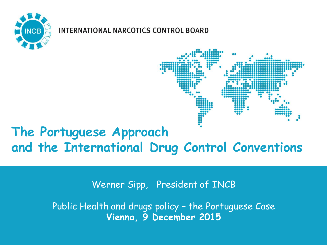

#### **INTERNATIONAL NARCOTICS CONTROL BOARD**



#### **The Portuguese Approach and the International Drug Control Conventions**

Werner Sipp, President of INCB

Public Health and drugs policy – the Portuguese Case **Vienna, 9 December 2015**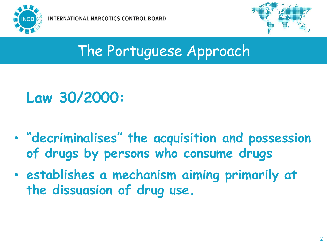



#### The Portuguese Approach

## **Law 30/2000:**

- **"decriminalises" the acquisition and possession of drugs by persons who consume drugs**
- **establishes a mechanism aiming primarily at the dissuasion of drug use.**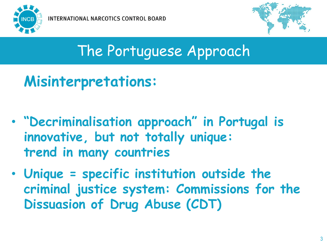



## The Portuguese Approach

- **Misinterpretations:**
- **"Decriminalisation approach" in Portugal is innovative, but not totally unique: trend in many countries**
- **Unique = specific institution outside the criminal justice system: Commissions for the Dissuasion of Drug Abuse (CDT)**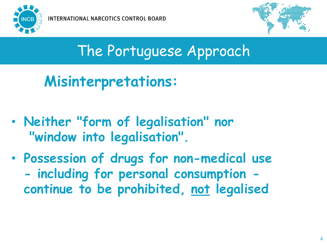



#### The Portuguese Approach

**Misinterpretations:**

- **Neither "form of legalisation" nor "window into legalisation".**
- **Possession of drugs for non-medical use - including for personal consumption continue to be prohibited, not legalised**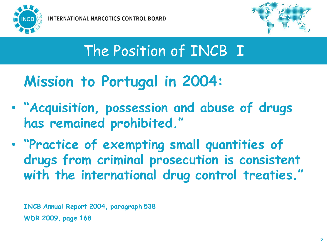

**INTERNATIONAL NARCOTICS CONTROL BOARD** 



#### The Position of INCB I

#### **Mission to Portugal in 2004:**

- **"Acquisition, possession and abuse of drugs has remained prohibited."**
- **"Practice of exempting small quantities of drugs from criminal prosecution is consistent with the international drug control treaties."**

**INCB Annual Report 2004, paragraph 538 WDR 2009, page 168**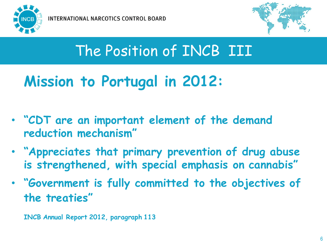



#### The Position of INCB III

#### **Mission to Portugal in 2012:**

- **"CDT are an important element of the demand reduction mechanism"**
- **"Appreciates that primary prevention of drug abuse is strengthened, with special emphasis on cannabis"**
- **"Government is fully committed to the objectives of the treaties"**

**INCB Annual Report 2012, paragraph 113**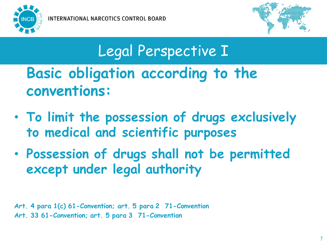



# Legal Perspective I

## **Basic obligation according to the conventions:**

- **To limit the possession of drugs exclusively to medical and scientific purposes**
- **Possession of drugs shall not be permitted except under legal authority**

**Art. 4 para 1(c) 61-Convention; art. 5 para 2 71-Convention Art. 33 61-Convention; art. 5 para 3 71-Convention**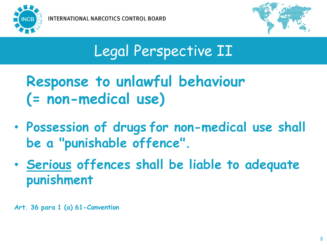



### Legal Perspective II

**Response to unlawful behaviour (= non-medical use)**

- **Possession of drugs for non-medical use shall be a "punishable offence".**
- **Serious offences shall be liable to adequate punishment**

**Art. 36 para 1 (a) 61-Convention**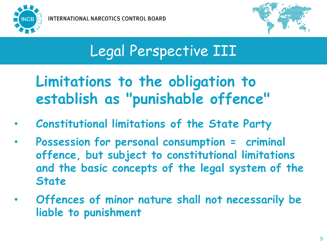

**INTERNATIONAL NARCOTICS CONTROL BOARD** 



## Legal Perspective III

#### **Limitations to the obligation to establish as "punishable offence"**

- **Constitutional limitations of the State Party**
- **Possession for personal consumption = criminal offence, but subject to constitutional limitations and the basic concepts of the legal system of the State**
- **Offences of minor nature shall not necessarily be liable to punishment**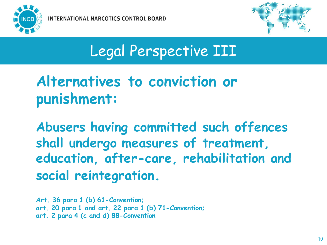



#### Legal Perspective III

#### **Alternatives to conviction or punishment:**

**Abusers having committed such offences shall undergo measures of treatment, education, after-care, rehabilitation and social reintegration.**

**Art. 36 para 1 (b) 61-Convention; art. 20 para 1 and art. 22 para 1 (b) 71-Convention; art. 2 para 4 (c and d) 88-Convention**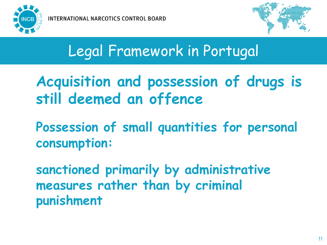



- **Acquisition and possession of drugs is still deemed an offence**
- **Possession of small quantities for personal consumption:**
- **sanctioned primarily by administrative measures rather than by criminal punishment**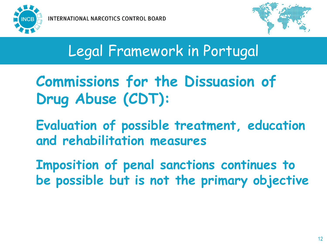



**Commissions for the Dissuasion of Drug Abuse (CDT):**

**Evaluation of possible treatment, education and rehabilitation measures**

**Imposition of penal sanctions continues to be possible but is not the primary objective**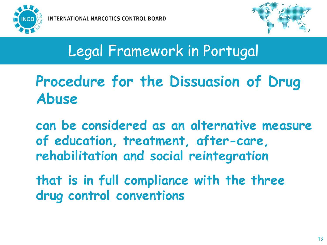



#### **Procedure for the Dissuasion of Drug Abuse**

**can be considered as an alternative measure of education, treatment, after-care, rehabilitation and social reintegration**

**that is in full compliance with the three drug control conventions**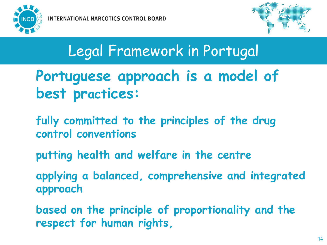



- **Portuguese approach is a model of best practices:**
- **fully committed to the principles of the drug control conventions**
- **putting health and welfare in the centre**
- **applying a balanced, comprehensive and integrated approach**
- **based on the principle of proportionality and the respect for human rights,**